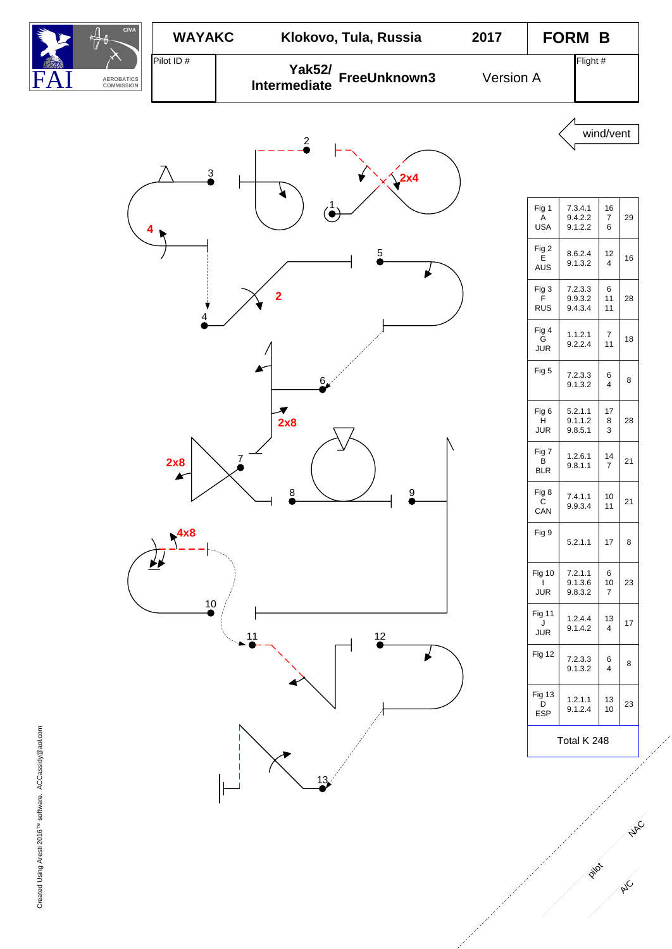

A/C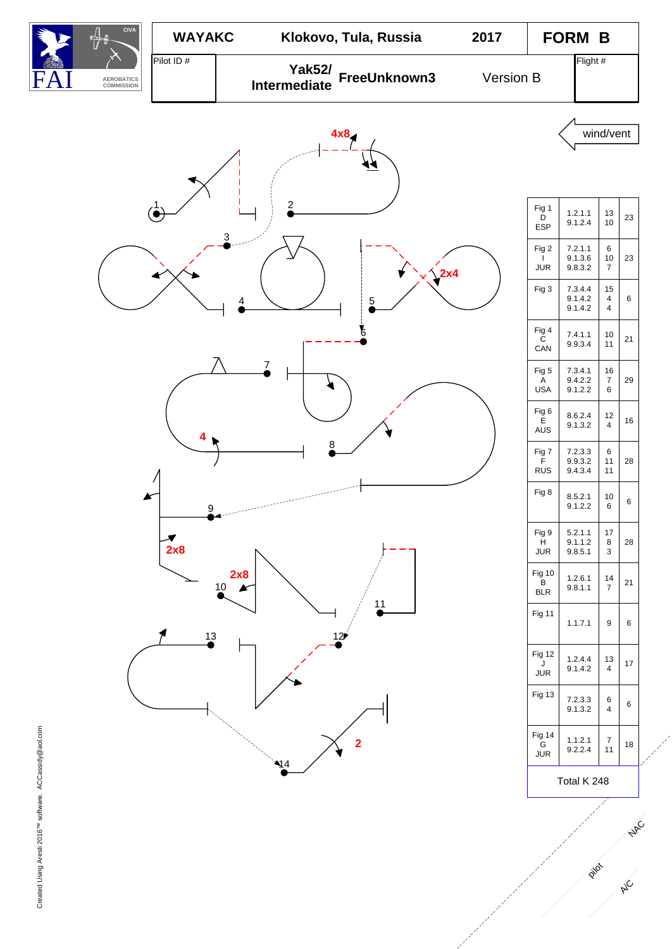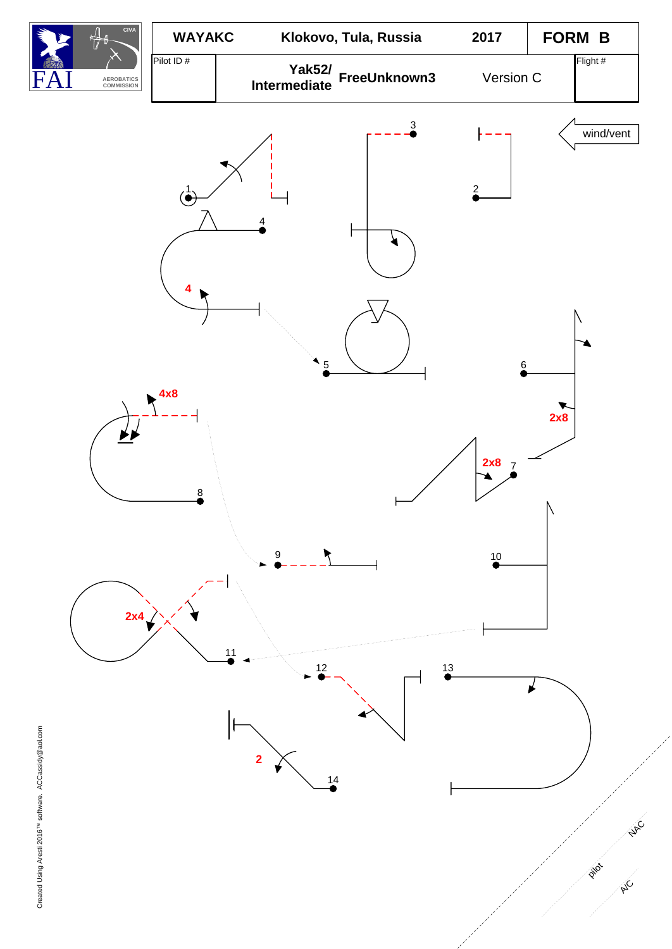